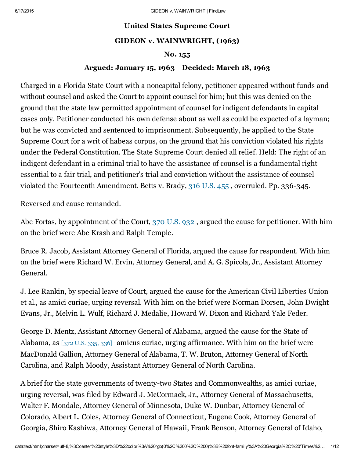# United States Supreme Court GIDEON v. WAINWRIGHT, (1963) No. 155 Argued: January 15, 1963 Decided: March 18, 1963

Charged in a Florida State Court with a noncapital felony, petitioner appeared without funds and without counsel and asked the Court to appoint counsel for him; but this was denied on the ground that the state law permitted appointment of counsel for indigent defendants in capital cases only. Petitioner conducted his own defense about as well as could be expected of a layman; but he was convicted and sentenced to imprisonment. Subsequently, he applied to the State Supreme Court for a writ of habeas corpus, on the ground that his conviction violated his rights under the Federal Constitution. The State Supreme Court denied all relief. Held: The right of an indigent defendant in a criminal trial to have the assistance of counsel is a fundamental right essential to a fair trial, and petitioner's trial and conviction without the assistance of counsel violated the Fourteenth Amendment. Betts v. Brady,  $316$  [U.S.](http://caselaw.findlaw.com/us-supreme-court/316/455.html)  $455$ , overruled. Pp.  $336-345$ .

Reversed and cause remanded.

Abe Fortas, by appointment of the Court, 370 [U.S.](http://caselaw.findlaw.com/us-supreme-court/370/932.html) 932, argued the cause for petitioner. With him on the brief were Abe Krash and Ralph Temple.

Bruce R. Jacob, Assistant Attorney General of Florida, argued the cause for respondent. With him on the brief were Richard W. Ervin, Attorney General, and A. G. Spicola, Jr., Assistant Attorney General.

J. Lee Rankin, by special leave of Court, argued the cause for the American Civil Liberties Union et al., as amici curiae, urging reversal. With him on the brief were Norman Dorsen, John Dwight Evans, Jr., Melvin L. Wulf, Richard J. Medalie, Howard W. Dixon and Richard Yale Feder.

George D. Mentz, Assistant Attorney General of Alabama, argued the cause for the State of Alabama, as [372 U.S. 335, 336] amicus curiae, urging affirmance. With him on the brief were MacDonald Gallion, Attorney General of Alabama, T. W. Bruton, Attorney General of North Carolina, and Ralph Moody, Assistant Attorney General of North Carolina.

A brief for the state governments of twenty-two States and Commonwealths, as amici curiae, urging reversal, was filed by Edward J. McCormack, Jr., Attorney General of Massachusetts, Walter F. Mondale, Attorney General of Minnesota, Duke W. Dunbar, Attorney General of Colorado, Albert L. Coles, Attorney General of Connecticut, Eugene Cook, Attorney General of Georgia, Shiro Kashiwa, Attorney General of Hawaii, Frank Benson, Attorney General of Idaho,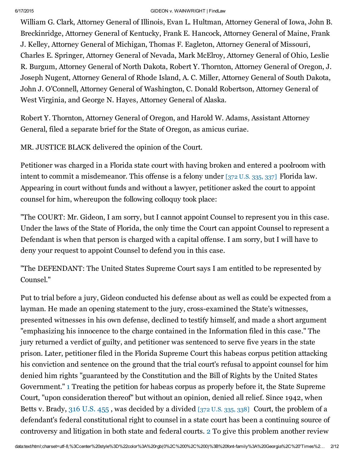William G. Clark, Attorney General of Illinois, Evan L. Hultman, Attorney General of Iowa, John B. Breckinridge, Attorney General of Kentucky, Frank E. Hancock, Attorney General of Maine, Frank J. Kelley, Attorney General of Michigan, Thomas F. Eagleton, Attorney General of Missouri, Charles E. Springer, Attorney General of Nevada, Mark McElroy, Attorney General of Ohio, Leslie R. Burgum, Attorney General of North Dakota, Robert Y. Thornton, Attorney General of Oregon, J. Joseph Nugent, Attorney General of Rhode Island, A. C. Miller, Attorney General of South Dakota, John J. O'Connell, Attorney General of Washington, C. Donald Robertson, Attorney General of West Virginia, and George N. Hayes, Attorney General of Alaska.

Robert Y. Thornton, Attorney General of Oregon, and Harold W. Adams, Assistant Attorney General, filed a separate brief for the State of Oregon, as amicus curiae.

MR. JUSTICE BLACK delivered the opinion of the Court.

Petitioner was charged in a Florida state court with having broken and entered a poolroom with intent to commit a misdemeanor. This offense is a felony under [372 U.S. 335, 337] Florida law. Appearing in court without funds and without a lawyer, petitioner asked the court to appoint counsel for him, whereupon the following colloquy took place:

"The COURT: Mr. Gideon, I am sorry, but I cannot appoint Counsel to represent you in this case. Under the laws of the State of Florida, the only time the Court can appoint Counsel to represent a Defendant is when that person is charged with a capital offense. I am sorry, but I will have to deny your request to appoint Counsel to defend you in this case.

"The DEFENDANT: The United States Supreme Court says I am entitled to be represented by Counsel."

Put to trial before a jury, Gideon conducted his defense about as well as could be expected from a layman. He made an opening statement to the jury, cross-examined the State's witnesses, presented witnesses in his own defense, declined to testify himself, and made a short argument "emphasizing his innocence to the charge contained in the Information filed in this case." The jury returned a verdict of guilty, and petitioner was sentenced to serve five years in the state prison. Later, petitioner filed in the Florida Supreme Court this habeas corpus petition attacking his conviction and sentence on the ground that the trial court's refusal to appoint counsel for him denied him rights "guaranteed by the Constitution and the Bill of Rights by the United States Government." [1](http://caselaw.findlaw.com/us-supreme-court/372/335.html#f1) Treating the petition for habeas corpus as properly before it, the State Supreme Court, "upon consideration thereof" but without an opinion, denied all relief. Since 1942, when Betts v. Brady, 316 [U.S.](http://caselaw.findlaw.com/us-supreme-court/316/455.html) 455 , was decided by a divided [372 U.S. 335, 338] Court, the problem of a defendant's federal constitutional right to counsel in a state court has been a continuing source of controversy and litigation in both state and federal courts. [2](http://caselaw.findlaw.com/us-supreme-court/372/335.html#f2) To give this problem another review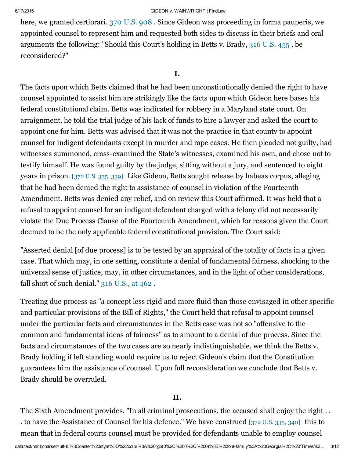here, we granted certiorari. 370 [U.S.](http://caselaw.findlaw.com/us-supreme-court/370/908.html) 908 . Since Gideon was proceeding in forma pauperis, we appointed counsel to represent him and requested both sides to discuss in their briefs and oral arguments the following: "Should this Court's holding in Betts v. Brady, 316 [U.S.](http://caselaw.findlaw.com/us-supreme-court/316/455.html) 455 , be reconsidered?"

## I.

The facts upon which Betts claimed that he had been unconstitutionally denied the right to have counsel appointed to assist him are strikingly like the facts upon which Gideon here bases his federal constitutional claim. Betts was indicated for robbery in a Maryland state court. On arraignment, he told the trial judge of his lack of funds to hire a lawyer and asked the court to appoint one for him. Betts was advised that it was not the practice in that county to appoint counsel for indigent defendants except in murder and rape cases. He then pleaded not guilty, had witnesses summoned, cross-examined the State's witnesses, examined his own, and chose not to testify himself. He was found guilty by the judge, sitting without a jury, and sentenced to eight years in prison. [372 U.S. 335, 339] Like Gideon, Betts sought release by habeas corpus, alleging that he had been denied the right to assistance of counsel in violation of the Fourteenth Amendment. Betts was denied any relief, and on review this Court affirmed. It was held that a refusal to appoint counsel for an indigent defendant charged with a felony did not necessarily violate the Due Process Clause of the Fourteenth Amendment, which for reasons given the Court deemed to be the only applicable federal constitutional provision. The Court said:

"Asserted denial [of due process] is to be tested by an appraisal of the totality of facts in a given case. That which may, in one setting, constitute a denial of fundamental fairness, shocking to the universal sense of justice, may, in other circumstances, and in the light of other considerations, fall short of such denial." 316 [U.S.,](http://caselaw.findlaw.com/us-supreme-court/316/455.html#462) at 462 .

Treating due process as "a concept less rigid and more fluid than those envisaged in other specific and particular provisions of the Bill of Rights," the Court held that refusal to appoint counsel under the particular facts and circumstances in the Betts case was not so "offensive to the common and fundamental ideas of fairness" as to amount to a denial of due process. Since the facts and circumstances of the two cases are so nearly indistinguishable, we think the Betts v. Brady holding if left standing would require us to reject Gideon's claim that the Constitution guarantees him the assistance of counsel. Upon full reconsideration we conclude that Betts v. Brady should be overruled.

## II.

The Sixth Amendment provides, "In all criminal prosecutions, the accused shall enjoy the right . . . to have the Assistance of Counsel for his defence." We have construed [372 U.S. 335, 340] this to mean that in federal courts counsel must be provided for defendants unable to employ counsel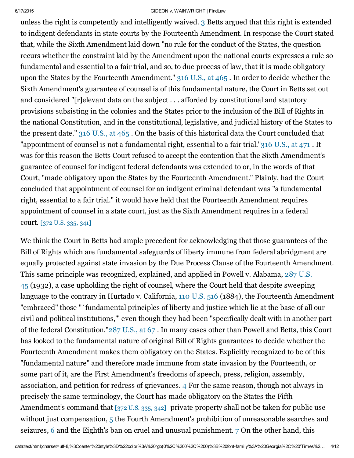unless the right is competently and intelligently waived. [3](http://caselaw.findlaw.com/us-supreme-court/372/335.html#f3) Betts argued that this right is extended to indigent defendants in state courts by the Fourteenth Amendment. In response the Court stated that, while the Sixth Amendment laid down "no rule for the conduct of the States, the question recurs whether the constraint laid by the Amendment upon the national courts expresses a rule so fundamental and essential to a fair trial, and so, to due process of law, that it is made obligatory upon the States by the Fourteenth Amendment." 316 [U.S.,](http://caselaw.findlaw.com/us-supreme-court/316/455.html#465) at 465 . In order to decide whether the Sixth Amendment's guarantee of counsel is of this fundamental nature, the Court in Betts set out and considered "[r]elevant data on the subject . . . afforded by constitutional and statutory provisions subsisting in the colonies and the States prior to the inclusion of the Bill of Rights in the national Constitution, and in the constitutional, legislative, and judicial history of the States to the present date." 316 [U.S.,](http://caselaw.findlaw.com/us-supreme-court/316/455.html#465) at 465 . On the basis of this historical data the Court concluded that "appointment of counsel is not a fundamental right, essential to a fair trial."316 [U.S.,](http://caselaw.findlaw.com/us-supreme-court/316/455.html#471) at 471 . It was for this reason the Betts Court refused to accept the contention that the Sixth Amendment's guarantee of counsel for indigent federal defendants was extended to or, in the words of that Court, "made obligatory upon the States by the Fourteenth Amendment." Plainly, had the Court concluded that appointment of counsel for an indigent criminal defendant was "a fundamental right, essential to a fair trial." it would have held that the Fourteenth Amendment requires appointment of counsel in a state court, just as the Sixth Amendment requires in a federal court. [372 U.S. 335, 341]

We think the Court in Betts had ample precedent for acknowledging that those guarantees of the Bill of Rights which are fundamental safeguards of liberty immune from federal abridgment are equally protected against state invasion by the Due Process Clause of the Fourteenth Amendment. This same principle was [recognized,](http://caselaw.findlaw.com/us-supreme-court/287/45.html) explained, and applied in Powell v. Alabama, 287 U.S. 45 (1932), a case upholding the right of counsel, where the Court held that despite sweeping language to the contrary in Hurtado v. California, 110 [U.S.](http://caselaw.findlaw.com/us-supreme-court/110/516.html) 516 (1884), the Fourteenth Amendment "embraced" those "`fundamental principles of liberty and justice which lie at the base of all our civil and political institutions,'" even though they had been "specifically dealt with in another part of the federal Constitution."287 [U.S.,](http://caselaw.findlaw.com/us-supreme-court/287/45.html#67) at 67 . In many cases other than Powell and Betts, this Court has looked to the fundamental nature of original Bill of Rights guarantees to decide whether the Fourteenth Amendment makes them obligatory on the States. Explicitly recognized to be of this "fundamental nature" and therefore made immune from state invasion by the Fourteenth, or some part of it, are the First Amendment's freedoms of speech, press, religion, assembly, association, and petition for redress of grievances. [4](http://caselaw.findlaw.com/us-supreme-court/372/335.html#f4) For the same reason, though not always in precisely the same terminology, the Court has made obligatory on the States the Fifth Amendment's command that [372 U.S. 335, 342] private property shall not be taken for public use without just compensation, [5](http://caselaw.findlaw.com/us-supreme-court/372/335.html#f5) the Fourth Amendment's prohibition of unreasonable searches and seizures, [6](http://caselaw.findlaw.com/us-supreme-court/372/335.html#f6) and the Eighth's ban on cruel and unusual punishment. [7](http://caselaw.findlaw.com/us-supreme-court/372/335.html#f7) On the other hand, this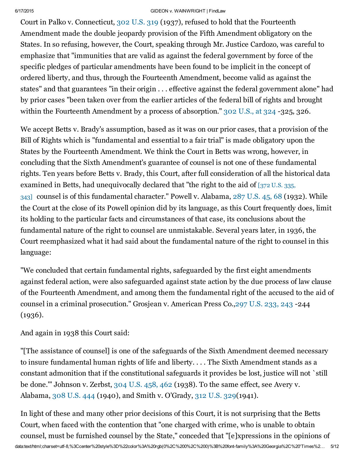Court in Palko v. Connecticut, 302 [U.S.](http://caselaw.findlaw.com/us-supreme-court/302/319.html) 319 (1937), refused to hold that the Fourteenth Amendment made the double jeopardy provision of the Fifth Amendment obligatory on the States. In so refusing, however, the Court, speaking through Mr. Justice Cardozo, was careful to emphasize that "immunities that are valid as against the federal government by force of the specific pledges of particular amendments have been found to be implicit in the concept of ordered liberty, and thus, through the Fourteenth Amendment, become valid as against the states" and that guarantees "in their origin . . . effective against the federal government alone" had by prior cases "been taken over from the earlier articles of the federal bill of rights and brought within the Fourteenth Amendment by a process of absorption."  $302$  [U.S.,](http://caselaw.findlaw.com/us-supreme-court/302/319.html#324) at  $324$   $-325$ ,  $326$ .

We accept Betts v. Brady's assumption, based as it was on our prior cases, that a provision of the Bill of Rights which is "fundamental and essential to a fair trial" is made obligatory upon the States by the Fourteenth Amendment. We think the Court in Betts was wrong, however, in concluding that the Sixth Amendment's guarantee of counsel is not one of these fundamental rights. Ten years before Betts v. Brady, this Court, after full consideration of all the historical data examined in Betts, had unequivocally declared that "the right to the aid of [372 U.S. 335, 343] counsel is of this fundamental character." Powell v. Alabama, 287 [U.S.](http://caselaw.findlaw.com/us-supreme-court/287/45.html#68) 45, 68 (1932). While the Court at the close of its Powell opinion did by its language, as this Court frequently does, limit its holding to the particular facts and circumstances of that case, its conclusions about the fundamental nature of the right to counsel are unmistakable. Several years later, in 1936, the Court reemphasized what it had said about the fundamental nature of the right to counsel in this language:

"We concluded that certain fundamental rights, safeguarded by the first eight amendments against federal action, were also safeguarded against state action by the due process of law clause of the Fourteenth Amendment, and among them the fundamental right of the accused to the aid of counsel in a criminal prosecution." Grosjean v. American Press Co., 297 U.S. [233,](http://caselaw.findlaw.com/us-supreme-court/297/233.html#243) 243 - 244 (1936).

And again in 1938 this Court said:

"[The assistance of counsel] is one of the safeguards of the Sixth Amendment deemed necessary to insure fundamental human rights of life and liberty. . . . The Sixth Amendment stands as a constant admonition that if the constitutional safeguards it provides be lost, justice will not `still be done.'" Johnson v. Zerbst, 304 U.S. [458,](http://caselaw.findlaw.com/us-supreme-court/304/458.html#462) 462 (1938). To the same effect, see Avery v. Alabama, 308 [U.S.](http://caselaw.findlaw.com/us-supreme-court/308/444.html) 444 (1940), and Smith v. O'Grady, 312 [U.S.](http://caselaw.findlaw.com/us-supreme-court/312/329.html) 329(1941).

data:text/html;charset=utf8,%3Ccenter%20style%3D%22color%3A%20rgb(0%2C%200%2C%200)%3B%20fontfamily%3A%20Georgia%2C%20'Times%2… 5/12 In light of these and many other prior decisions of this Court, it is not surprising that the Betts Court, when faced with the contention that "one charged with crime, who is unable to obtain counsel, must be furnished counsel by the State," conceded that "[e]xpressions in the opinions of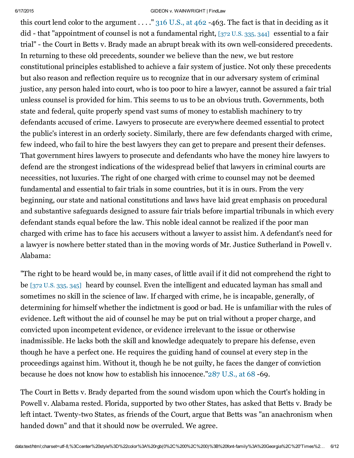this court lend color to the argument  $\dots$ ." 316 [U.S.,](http://caselaw.findlaw.com/us-supreme-court/316/455.html#462) at 462 -463. The fact is that in deciding as it did - that "appointment of counsel is not a fundamental right, [372 U.S. 335, 344] essential to a fair trial" - the Court in Betts v. Brady made an abrupt break with its own well-considered precedents. In returning to these old precedents, sounder we believe than the new, we but restore constitutional principles established to achieve a fair system of justice. Not only these precedents but also reason and reflection require us to recognize that in our adversary system of criminal justice, any person haled into court, who is too poor to hire a lawyer, cannot be assured a fair trial unless counsel is provided for him. This seems to us to be an obvious truth. Governments, both state and federal, quite properly spend vast sums of money to establish machinery to try defendants accused of crime. Lawyers to prosecute are everywhere deemed essential to protect the public's interest in an orderly society. Similarly, there are few defendants charged with crime, few indeed, who fail to hire the best lawyers they can get to prepare and present their defenses. That government hires lawyers to prosecute and defendants who have the money hire lawyers to defend are the strongest indications of the widespread belief that lawyers in criminal courts are necessities, not luxuries. The right of one charged with crime to counsel may not be deemed fundamental and essential to fair trials in some countries, but it is in ours. From the very beginning, our state and national constitutions and laws have laid great emphasis on procedural and substantive safeguards designed to assure fair trials before impartial tribunals in which every defendant stands equal before the law. This noble ideal cannot be realized if the poor man charged with crime has to face his accusers without a lawyer to assist him. A defendant's need for a lawyer is nowhere better stated than in the moving words of Mr. Justice Sutherland in Powell v. Alabama:

"The right to be heard would be, in many cases, of little avail if it did not comprehend the right to be [372 U.S. 335, 345] heard by counsel. Even the intelligent and educated layman has small and sometimes no skill in the science of law. If charged with crime, he is incapable, generally, of determining for himself whether the indictment is good or bad. He is unfamiliar with the rules of evidence. Left without the aid of counsel he may be put on trial without a proper charge, and convicted upon incompetent evidence, or evidence irrelevant to the issue or otherwise inadmissible. He lacks both the skill and knowledge adequately to prepare his defense, even though he have a perfect one. He requires the guiding hand of counsel at every step in the proceedings against him. Without it, though he be not guilty, he faces the danger of conviction because he does not know how to establish his innocence."287 [U.S.,](http://caselaw.findlaw.com/us-supreme-court/287/45.html#68) at 68 -69.

The Court in Betts v. Brady departed from the sound wisdom upon which the Court's holding in Powell v. Alabama rested. Florida, supported by two other States, has asked that Betts v. Brady be left intact. Twenty-two States, as friends of the Court, argue that Betts was "an anachronism when handed down" and that it should now be overruled. We agree.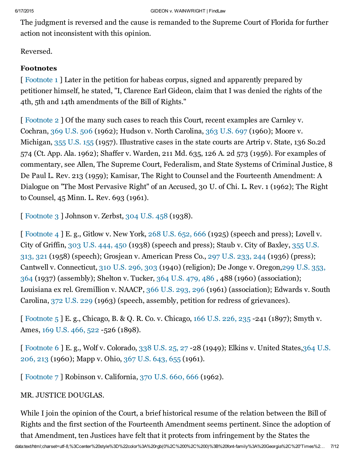The judgment is reversed and the cause is remanded to the Supreme Court of Florida for further action not inconsistent with this opinion.

Reversed.

## Footnotes

[ [Footnote](http://caselaw.findlaw.com/us-supreme-court/372/335.html#t1) 1 ] Later in the petition for habeas corpus, signed and apparently prepared by petitioner himself, he stated, "I, Clarence Earl Gideon, claim that I was denied the rights of the 4th, 5th and 14th amendments of the Bill of Rights."

[ [Footnote](http://caselaw.findlaw.com/us-supreme-court/372/335.html#t2) 2 ] Of the many such cases to reach this Court, recent examples are Carnley v. Cochran, 369 [U.S.](http://caselaw.findlaw.com/us-supreme-court/369/506.html) 506 (1962); Hudson v. North Carolina, 363 [U.S.](http://caselaw.findlaw.com/us-supreme-court/363/697.html) 697 (1960); Moore v. Michigan, 355 [U.S.](http://caselaw.findlaw.com/us-supreme-court/355/155.html) 155 (1957). Illustrative cases in the state courts are Artrip v. State, 136 So.2d 574 (Ct. App. Ala. 1962); Shaffer v. Warden, 211 Md. 635, 126 A. 2d 573 (1956). For examples of commentary, see Allen, The Supreme Court, Federalism, and State Systems of Criminal Justice, 8 De Paul L. Rev. 213 (1959); Kamisar, The Right to Counsel and the Fourteenth Amendment: A Dialogue on "The Most Pervasive Right" of an Accused, 30 U. of Chi. L. Rev. 1 (1962); The Right to Counsel, 45 Minn. L. Rev. 693 (1961).

[ [Footnote](http://caselaw.findlaw.com/us-supreme-court/372/335.html#t3) 3 ] Johnson v. Zerbst, 304 [U.S.](http://caselaw.findlaw.com/us-supreme-court/304/458.html) 458 (1938).

[ [Footnote](http://caselaw.findlaw.com/us-supreme-court/372/335.html#t4) 4 ] E. g., Gitlow v. New York, 268 U.S. [652,](http://caselaw.findlaw.com/us-supreme-court/268/652.html#666) 666 (1925) (speech and press); Lovell v. City of Griffin, 303 U.S. [444,](http://caselaw.findlaw.com/us-supreme-court/303/444.html#450) 450 (1938) (speech and press); Staub v. City of Baxley, 355 U.S. 313, 321 (1958) (speech); Grosjean v. [American](http://caselaw.findlaw.com/us-supreme-court/355/313.html#321) Press Co., 297 U.S. [233,](http://caselaw.findlaw.com/us-supreme-court/297/233.html#244) 244 (1936) (press); Cantwell v. Connecticut, 310 U.S. [296,](http://caselaw.findlaw.com/us-supreme-court/310/296.html#303) 303 (1940) (religion); De Jonge v. Oregon,299 U.S. 353, 364 (1937) (assembly); Shelton v. Tucker, 364 U.S. [479,](http://caselaw.findlaw.com/us-supreme-court/364/479.html#486) 486 , 488 (1960) [\(association\);](http://caselaw.findlaw.com/us-supreme-court/299/353.html#364) Louisiana ex rel. Gremillion v. NAACP, 366 U.S. [293,](http://caselaw.findlaw.com/us-supreme-court/366/293.html#296) 296 (1961) (association); Edwards v. South Carolina, 372 [U.S.](http://caselaw.findlaw.com/us-supreme-court/372/229.html) 229 (1963) (speech, assembly, petition for redress of grievances).

[ [Footnote](http://caselaw.findlaw.com/us-supreme-court/372/335.html#t5) 5 ] E. g., Chicago, B. & Q. R. Co. v. Chicago, 166 U.S. [226,](http://caselaw.findlaw.com/us-supreme-court/166/226.html#235) 235 -241 (1897); Smyth v. Ames, 169 U.S. [466,](http://caselaw.findlaw.com/us-supreme-court/169/466.html#522) 522 -526 (1898).

[ [Footnote](http://caselaw.findlaw.com/us-supreme-court/372/335.html#t6) 6 ] E. g., Wolf v. Colorado, 338 [U.S.](http://caselaw.findlaw.com/us-supreme-court/338/25.html#27) 25, 27 -28 (1949); Elkins v. United States, 364 U.S. 206, 213 (1960); Mapp v. Ohio, 367 U.S. [643,](http://caselaw.findlaw.com/us-supreme-court/367/643.html#655) 655 (1961).

[ [Footnote](http://caselaw.findlaw.com/us-supreme-court/372/335.html#t7) 7 ] Robinson v. California, 370 U.S. [660,](http://caselaw.findlaw.com/us-supreme-court/370/660.html#666) 666 (1962).

## MR. JUSTICE DOUGLAS.

While I join the opinion of the Court, a brief historical resume of the relation between the Bill of Rights and the first section of the Fourteenth Amendment seems pertinent. Since the adoption of that Amendment, ten Justices have felt that it protects from infringement by the States the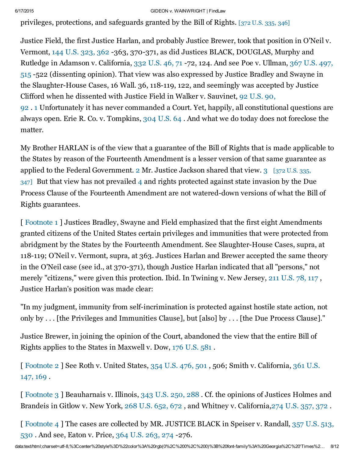privileges, protections, and safeguards granted by the Bill of Rights. [372 U.S. 335, 346]

Justice Field, the first Justice Harlan, and probably Justice Brewer, took that position in O'Neil v. Vermont,  $144$  U.S.  $323$ ,  $362 - 363$ ,  $370 - 371$ , as did Justices BLACK, DOUGLAS, Murphy and Rutledge in Adamson v. California, 332 [U.S.](http://caselaw.findlaw.com/us-supreme-court/332/46.html#71) 46, 71 72, 124. And see Poe v. Ullman, 367 U.S. 497, 515 522 [\(dissenting](http://caselaw.findlaw.com/us-supreme-court/367/497.html#515) opinion). That view was also expressed by Justice Bradley and Swayne in the Slaughter-House Cases, 16 Wall. 36, 118-119, 122, and seemingly was accepted by Justice Clifford when he dissented with Justice Field in Walker v. Sauvinet, 92 U.S. 90, 92 . [1](http://caselaw.findlaw.com/us-supreme-court/372/335.html#f1) [Unfortunately](http://caselaw.findlaw.com/us-supreme-court/92/90.html#92) it has never commanded a Court. Yet, happily, all constitutional questions are always open. Erie R. Co. v. Tompkins, 304 [U.S.](http://caselaw.findlaw.com/us-supreme-court/304/64.html) 64 . And what we do today does not foreclose the matter.

My Brother HARLAN is of the view that a guarantee of the Bill of Rights that is made applicable to the States by reason of the Fourteenth Amendment is a lesser version of that same guarantee as applied to the Federal Government. [2](http://caselaw.findlaw.com/us-supreme-court/372/335.html#f2) Mr. Justice Jackson shared that view. [3](http://caselaw.findlaw.com/us-supreme-court/372/335.html#f3) [372 U.S. 335, 347] But that view has not prevailed [4](http://caselaw.findlaw.com/us-supreme-court/372/335.html#fff4) and rights protected against state invasion by the Due Process Clause of the Fourteenth Amendment are not watered-down versions of what the Bill of Rights guarantees.

[ [Footnote](http://caselaw.findlaw.com/us-supreme-court/372/335.html#t1) 1 ] Justices Bradley, Swayne and Field emphasized that the first eight Amendments granted citizens of the United States certain privileges and immunities that were protected from abridgment by the States by the Fourteenth Amendment. See Slaughter-House Cases, supra, at 118-119; O'Neil v. Vermont, supra, at 363. Justices Harlan and Brewer accepted the same theory in the O'Neil case (see id., at 370-371), though Justice Harlan indicated that all "persons," not merely "citizens," were given this protection. Ibid. In Twining v. New Jersey, 211 [U.S.](http://caselaw.findlaw.com/us-supreme-court/211/78.html#117) 78, 117 , Justice Harlan's position was made clear:

"In my judgment, immunity from self-incrimination is protected against hostile state action, not only by . . . [the Privileges and Immunities Clause], but [also] by . . . [the Due Process Clause]."

Justice Brewer, in joining the opinion of the Court, abandoned the view that the entire Bill of Rights applies to the States in Maxwell v. Dow, 176 [U.S.](http://caselaw.findlaw.com/us-supreme-court/176/581.html) 581 .

[ [Footnote](http://caselaw.findlaw.com/us-supreme-court/372/335.html#t2) 2 ] See Roth v. United States, 354 U.S. [476,](http://caselaw.findlaw.com/us-supreme-court/354/476.html#501) 501 , 506; Smith v. [California,](http://caselaw.findlaw.com/us-supreme-court/361/147.html#169) 361 U.S. 147, 169 .

[ [Footnote](http://caselaw.findlaw.com/us-supreme-court/372/335.html#t3) 3 ] Beauharnais v. Illinois, 343 U.S. [250,](http://caselaw.findlaw.com/us-supreme-court/343/250.html#288) 288. Cf. the opinions of Justices Holmes and Brandeis in Gitlow v. New York, 268 U.S. [652,](http://caselaw.findlaw.com/us-supreme-court/268/652.html#672) 672 , and Whitney v. California,274 U.S. [357,](http://caselaw.findlaw.com/us-supreme-court/274/357.html#372) 372 .

[ [Footnote](http://caselaw.findlaw.com/us-supreme-court/372/335.html#ttt4) 4 ] The cases are collected by MR. [JUSTICE](http://caselaw.findlaw.com/us-supreme-court/357/513.html#530) BLACK in Speiser v. Randall, 357 U.S. 513, 530 . And see, Eaton v. Price, 364 U.S. [263,](http://caselaw.findlaw.com/us-supreme-court/364/263.html#274) 274 - 276.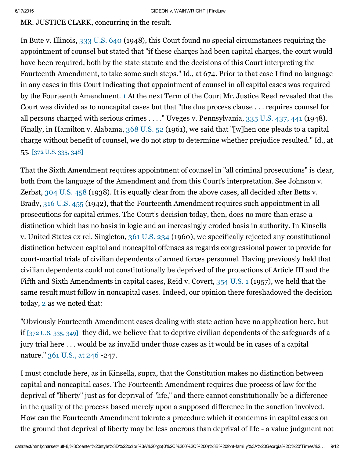MR. JUSTICE CLARK, concurring in the result.

In Bute v. Illinois, 333 [U.S.](http://caselaw.findlaw.com/us-supreme-court/333/640.html) 640 (1948), this Court found no special circumstances requiring the appointment of counsel but stated that "if these charges had been capital charges, the court would have been required, both by the state statute and the decisions of this Court interpreting the Fourteenth Amendment, to take some such steps." Id., at 674. Prior to that case I find no language in any cases in this Court indicating that appointment of counsel in all capital cases was required by the Fourteenth Amendment. [1](http://caselaw.findlaw.com/us-supreme-court/372/335.html#fff1) At the next Term of the Court Mr. Justice Reed revealed that the Court was divided as to noncapital cases but that "the due process clause . . . requires counsel for all persons charged with serious crimes . . . ." Uveges v. Pennsylvania, 335 U.S. [437,](http://caselaw.findlaw.com/us-supreme-court/335/437.html#441) 441 (1948). Finally, in Hamilton v. Alabama, 368 [U.S.](http://caselaw.findlaw.com/us-supreme-court/368/52.html) 52 (1961), we said that "[w]hen one pleads to a capital charge without benefit of counsel, we do not stop to determine whether prejudice resulted." Id., at 55. [372 U.S. 335, 348]

That the Sixth Amendment requires appointment of counsel in "all criminal prosecutions" is clear, both from the language of the Amendment and from this Court's interpretation. See Johnson v. Zerbst, 304 [U.S.](http://caselaw.findlaw.com/us-supreme-court/304/458.html) 458 (1938). It is equally clear from the above cases, all decided after Betts v. Brady, 316 [U.S.](http://caselaw.findlaw.com/us-supreme-court/316/455.html) 455 (1942), that the Fourteenth Amendment requires such appointment in all prosecutions for capital crimes. The Court's decision today, then, does no more than erase a distinction which has no basis in logic and an increasingly eroded basis in authority. In Kinsella v. United States ex rel. Singleton, 361 [U.S.](http://caselaw.findlaw.com/us-supreme-court/361/234.html) 234 (1960), we specifically rejected any constitutional distinction between capital and noncapital offenses as regards congressional power to provide for court-martial trials of civilian dependents of armed forces personnel. Having previously held that civilian dependents could not constitutionally be deprived of the protections of Article III and the Fifth and Sixth Amendments in capital cases, Reid v. Covert, 354 [U.S.](http://caselaw.findlaw.com/us-supreme-court/354/1.html) 1 (1957), we held that the same result must follow in noncapital cases. Indeed, our opinion there foreshadowed the decision today, [2](http://caselaw.findlaw.com/us-supreme-court/372/335.html#fff2) as we noted that:

"Obviously Fourteenth Amendment cases dealing with state action have no application here, but if [372 U.S. 335, 349] they did, we believe that to deprive civilian dependents of the safeguards of a jury trial here . . . would be as invalid under those cases as it would be in cases of a capital nature." 361 [U.S.,](http://caselaw.findlaw.com/us-supreme-court/361/234.html#246) at 246 -247.

I must conclude here, as in Kinsella, supra, that the Constitution makes no distinction between capital and noncapital cases. The Fourteenth Amendment requires due process of law for the deprival of "liberty" just as for deprival of "life," and there cannot constitutionally be a difference in the quality of the process based merely upon a supposed difference in the sanction involved. How can the Fourteenth Amendment tolerate a procedure which it condemns in capital cases on the ground that deprival of liberty may be less onerous than deprival of life - a value judgment not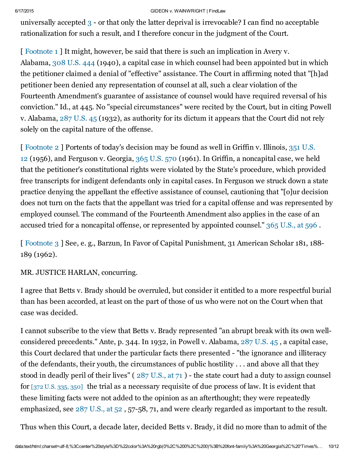universally accepted  $3$  - or that only the latter deprival is irrevocable? I can find no acceptable rationalization for such a result, and I therefore concur in the judgment of the Court.

[ [Footnote](http://caselaw.findlaw.com/us-supreme-court/372/335.html#ttt1) 1 ] It might, however, be said that there is such an implication in Avery v. Alabama, 308 [U.S.](http://caselaw.findlaw.com/us-supreme-court/308/444.html) 444 (1940), a capital case in which counsel had been appointed but in which the petitioner claimed a denial of "effective" assistance. The Court in affirming noted that "[h]ad petitioner been denied any representation of counsel at all, such a clear violation of the Fourteenth Amendment's guarantee of assistance of counsel would have required reversal of his conviction." Id., at 445. No "special circumstances" were recited by the Court, but in citing Powell v. Alabama, 287 [U.S.](http://caselaw.findlaw.com/us-supreme-court/287/45.html) 45 (1932), as authority for its dictum it appears that the Court did not rely solely on the capital nature of the offense.

[ [Footnote](http://caselaw.findlaw.com/us-supreme-court/372/335.html#ttt2) 2 ] Portents of today's decision may be found as well in Griffin v. Illinois, 351 U.S. 12 (1956), and Ferguson v. Georgia, 365 [U.S.](http://caselaw.findlaw.com/us-supreme-court/365/570.html) 570 (1961). In Griffin, a [noncapital](http://caselaw.findlaw.com/us-supreme-court/351/12.html) case, we held that the petitioner's constitutional rights were violated by the State's procedure, which provided free transcripts for indigent defendants only in capital cases. In Ferguson we struck down a state practice denying the appellant the effective assistance of counsel, cautioning that "[o]ur decision does not turn on the facts that the appellant was tried for a capital offense and was represented by employed counsel. The command of the Fourteenth Amendment also applies in the case of an accused tried for a noncapital offense, or represented by appointed counsel." 365 [U.S.,](http://caselaw.findlaw.com/us-supreme-court/365/570.html#596) at 596 .

[ [Footnote](http://caselaw.findlaw.com/us-supreme-court/372/335.html#ttt3) 3 ] See, e. g., Barzun, In Favor of Capital Punishment, 31 American Scholar 181, 188 189 (1962).

MR. JUSTICE HARLAN, concurring.

I agree that Betts v. Brady should be overruled, but consider it entitled to a more respectful burial than has been accorded, at least on the part of those of us who were not on the Court when that case was decided.

I cannot subscribe to the view that Betts v. Brady represented "an abrupt break with its own wellconsidered precedents." Ante, p. 344. In 1932, in Powell v. Alabama, 287 [U.S.](http://caselaw.findlaw.com/us-supreme-court/287/45.html) 45 , a capital case, this Court declared that under the particular facts there presented "the ignorance and illiteracy of the defendants, their youth, the circumstances of public hostility . . . and above all that they stood in deadly peril of their lives"  $(287 \text{ U.S.}, \text{at } 71)$  - the state court had a duty to assign counsel for [372 U.S. 335, 350] the trial as a necessary requisite of due process of law. It is evident that these limiting facts were not added to the opinion as an afterthought; they were repeatedly emphasized, see 287 [U.S.,](http://caselaw.findlaw.com/us-supreme-court/287/45.html#52) at 52, 57-58, 71, and were clearly regarded as important to the result.

Thus when this Court, a decade later, decided Betts v. Brady, it did no more than to admit of the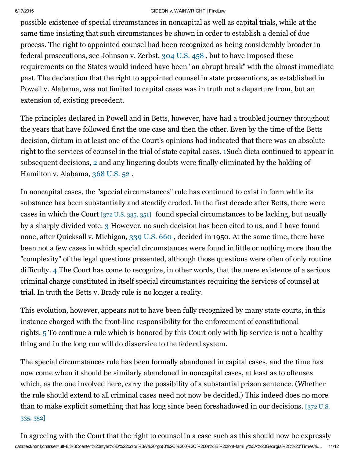possible existence of special circumstances in noncapital as well as capital trials, while at the same time insisting that such circumstances be shown in order to establish a denial of due process. The right to appointed counsel had been recognized as being considerably broader in federal prosecutions, see Johnson v. Zerbst, 304 [U.S.](http://caselaw.findlaw.com/us-supreme-court/304/458.html) 458 , but to have imposed these requirements on the States would indeed have been "an abrupt break" with the almost immediate past. The declaration that the right to appointed counsel in state prosecutions, as established in Powell v. Alabama, was not limited to capital cases was in truth not a departure from, but an extension of, existing precedent.

The principles declared in Powell and in Betts, however, have had a troubled journey throughout the years that have followed first the one case and then the other. Even by the time of the Betts decision, dictum in at least one of the Court's opinions had indicated that there was an absolute right to the services of counsel in the trial of state capital cases. [1S](http://caselaw.findlaw.com/us-supreme-court/372/335.html#ff1)uch dicta continued to appear in subsequent decisions, [2](http://caselaw.findlaw.com/us-supreme-court/372/335.html#ff2) and any lingering doubts were finally eliminated by the holding of Hamilton v. Alabama, 368 [U.S.](http://caselaw.findlaw.com/us-supreme-court/368/52.html) 52 .

In noncapital cases, the "special circumstances" rule has continued to exist in form while its substance has been substantially and steadily eroded. In the first decade after Betts, there were cases in which the Court [372 U.S. 335, 351] found special circumstances to be lacking, but usually by a sharply divided vote. [3](http://caselaw.findlaw.com/us-supreme-court/372/335.html#ff3) However, no such decision has been cited to us, and I have found none, after Quicksall v. Michigan, 339 [U.S.](http://caselaw.findlaw.com/us-supreme-court/339/660.html) 660 , decided in 1950. At the same time, there have been not a few cases in which special circumstances were found in little or nothing more than the "complexity" of the legal questions presented, although those questions were often of only routine difficulty. [4](http://caselaw.findlaw.com/us-supreme-court/372/335.html#ff4) The Court has come to recognize, in other words, that the mere existence of a serious criminal charge constituted in itself special circumstances requiring the services of counsel at trial. In truth the Betts v. Brady rule is no longer a reality.

This evolution, however, appears not to have been fully recognized by many state courts, in this instance charged with the front-line responsibility for the enforcement of constitutional rights. [5](http://caselaw.findlaw.com/us-supreme-court/372/335.html#ff5) To continue a rule which is honored by this Court only with lip service is not a healthy thing and in the long run will do disservice to the federal system.

The special circumstances rule has been formally abandoned in capital cases, and the time has now come when it should be similarly abandoned in noncapital cases, at least as to offenses which, as the one involved here, carry the possibility of a substantial prison sentence. (Whether the rule should extend to all criminal cases need not now be decided.) This indeed does no more than to make explicit something that has long since been foreshadowed in our decisions. [372 U.S. 335, 352]